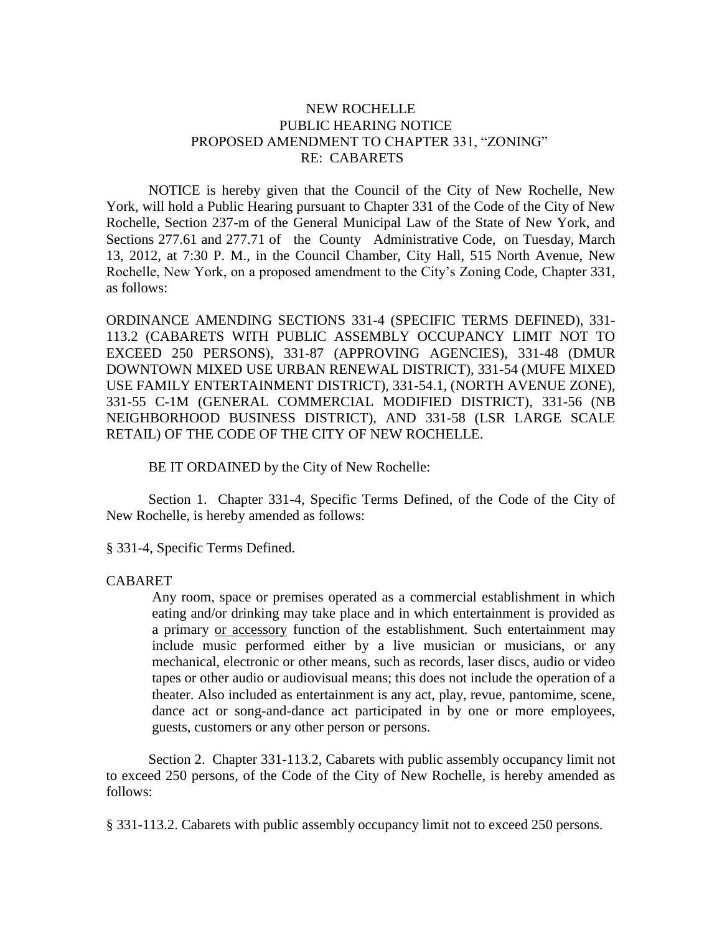## NEW ROCHELLE PUBLIC HEARING NOTICE PROPOSED AMENDMENT TO CHAPTER 331, "ZONING" RE: CABARETS

NOTICE is hereby given that the Council of the City of New Rochelle, New York, will hold a Public Hearing pursuant to Chapter 331 of the Code of the City of New Rochelle, Section 237-m of the General Municipal Law of the State of New York, and Sections 277.61 and 277.71 of the County Administrative Code, on Tuesday, March 13, 2012, at 7:30 P. M., in the Council Chamber, City Hall, 515 North Avenue, New Rochelle, New York, on a proposed amendment to the City's Zoning Code, Chapter 331, as follows:

ORDINANCE AMENDING SECTIONS 331-4 (SPECIFIC TERMS DEFINED), 331- 113.2 (CABARETS WITH PUBLIC ASSEMBLY OCCUPANCY LIMIT NOT TO EXCEED 250 PERSONS), 331-87 (APPROVING AGENCIES), 331-48 (DMUR DOWNTOWN MIXED USE URBAN RENEWAL DISTRICT), 331-54 (MUFE MIXED USE FAMILY ENTERTAINMENT DISTRICT), 331-54.1, (NORTH AVENUE ZONE), 331-55 C-1M (GENERAL COMMERCIAL MODIFIED DISTRICT), 331-56 (NB NEIGHBORHOOD BUSINESS DISTRICT), AND 331-58 (LSR LARGE SCALE RETAIL) OF THE CODE OF THE CITY OF NEW ROCHELLE.

BE IT ORDAINED by the City of New Rochelle:

Section 1. Chapter 331-4, Specific Terms Defined, of the Code of the City of New Rochelle, is hereby amended as follows:

§ 331-4, Specific Terms Defined.

## CABARET

Any room, space or premises operated as a commercial establishment in which eating and/or drinking may take place and in which entertainment is provided as a primary or accessory function of the establishment. Such entertainment may include music performed either by a live musician or musicians, or any mechanical, electronic or other means, such as records, laser discs, audio or video tapes or other audio or audiovisual means; this does not include the operation of a theater. Also included as entertainment is any act, play, revue, pantomime, scene, dance act or song-and-dance act participated in by one or more employees, guests, customers or any other person or persons.

Section 2. Chapter 331-113.2, Cabarets with public assembly occupancy limit not to exceed 250 persons, of the Code of the City of New Rochelle, is hereby amended as follows:

§ [331-113.2. Cabarets with public assembly occupancy limit not to exceed 250 persons.](http://www.ecode360.com/6731644#6732194)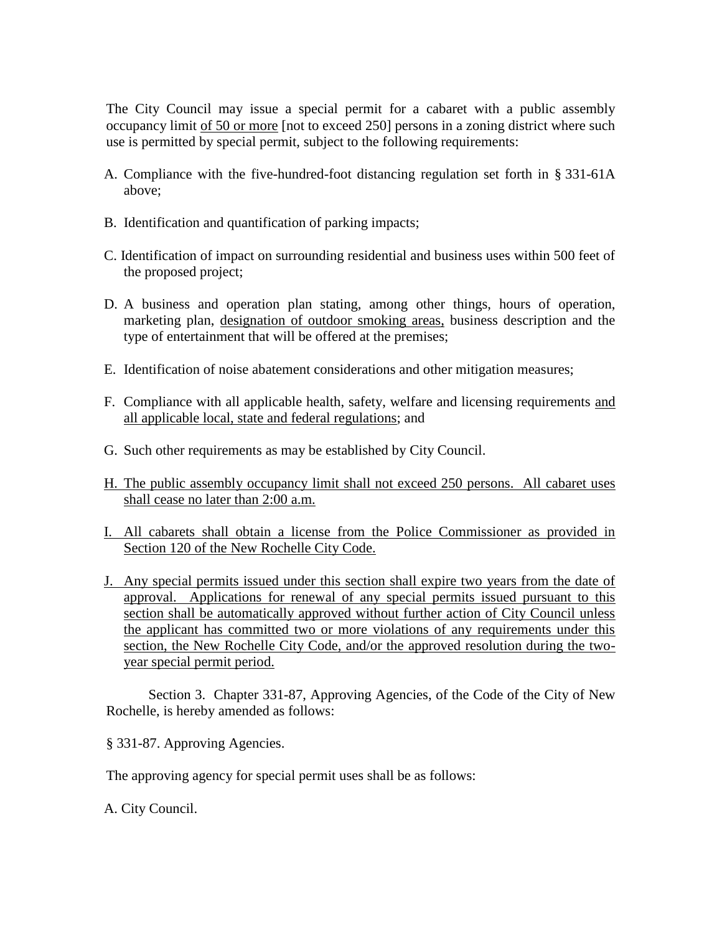The City Council may issue a special permit for a cabaret with a public assembly occupancy limit of 50 or more [not to exceed 250] persons in a zoning district where such use is permitted by special permit, subject to the following requirements:

- A. Compliance with the five-hundred-foot distancing regulation set forth in § [331-61A](http://www.ecode360.com/6731032#6731032) above;
- [B.](http://www.ecode360.com/6731644#6732196) Identification and quantification of parking impacts;
- [C.](http://www.ecode360.com/6731644#6732197) Identification of impact on surrounding residential and business uses within 500 feet of the proposed project;
- [D.](http://www.ecode360.com/6731644#6732198) A business and operation plan stating, among other things, hours of operation, marketing plan, designation of outdoor smoking areas, business description and the type of entertainment that will be offered at the premises;
- [E.](http://www.ecode360.com/6731644#6732199) Identification of noise abatement considerations and other mitigation measures;
- [F.](http://www.ecode360.com/6731644#6732200) Compliance with all applicable health, safety, welfare and licensing requirements and all applicable local, state and federal regulations; and
- [G.](http://www.ecode360.com/6731644#6732201) Such other requirements as may be established by City Council.
- H. The public assembly occupancy limit shall not exceed 250 persons. All cabaret uses shall cease no later than 2:00 a.m.
- I. All cabarets shall obtain a license from the Police Commissioner as provided in Section 120 of the New Rochelle City Code.
- J. Any special permits issued under this section shall expire two years from the date of approval. Applications for renewal of any special permits issued pursuant to this section shall be automatically approved without further action of City Council unless the applicant has committed two or more violations of any requirements under this section, the New Rochelle City Code, and/or the approved resolution during the twoyear special permit period.

Section 3. Chapter 331-87, Approving Agencies, of the Code of the City of New Rochelle, is hereby amended as follows:

§ 331-87. Approving Agencies.

The approving agency for special permit uses shall be as follows:

[A.](http://www.ecode360.com/6731644#6731647) City Council.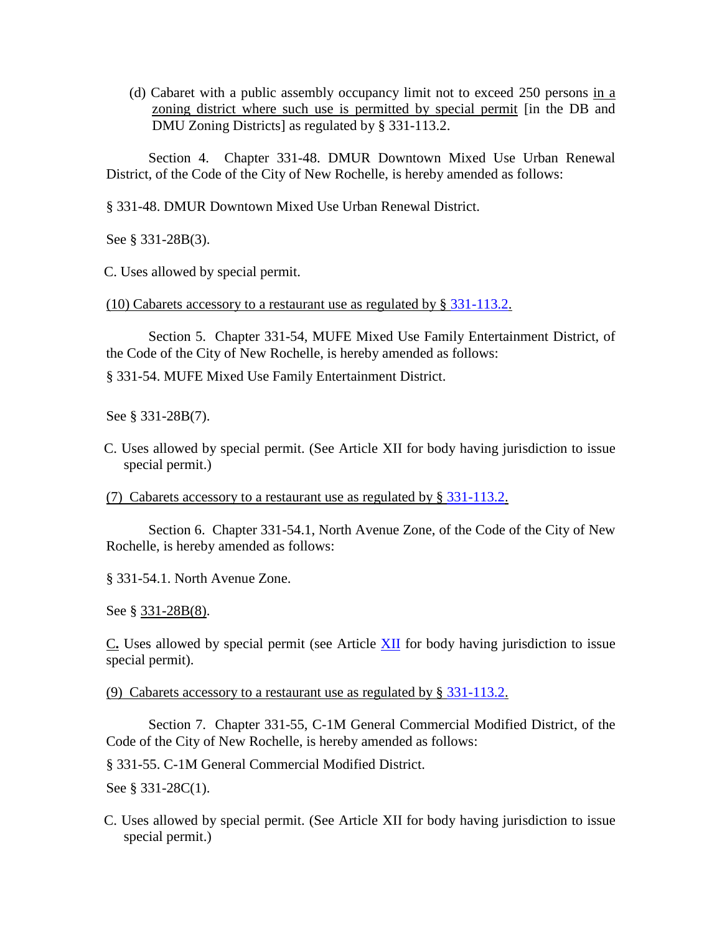[\(d\)](http://www.ecode360.com/6731644#6731655) Cabaret with a public assembly occupancy limit not to exceed 250 persons in a zoning district where such use is permitted by special permit [in the DB and DMU Zoning Districts] as regulated by § [331-113.2.](http://www.ecode360.com/6731644#6732194)

Section 4. Chapter 331-48. DMUR Downtown Mixed Use Urban Renewal District, of the Code of the City of New Rochelle, is hereby amended as follows:

§ 331-48. DMUR Downtown Mixed Use Urban Renewal District.

See § [331-28B\(3\).](http://www.ecode360.com/6729950#6729950)

[C.](http://www.ecode360.com/6730506#6730594) Uses allowed by special permit.

(10) Cabarets accessory to a restaurant use as regulated by § [331-113.2.](http://www.ecode360.com/6732194#6732194)

Section 5. Chapter 331-54, MUFE Mixed Use Family Entertainment District, of the Code of the City of New Rochelle, is hereby amended as follows:

§ 331-54. MUFE Mixed Use Family Entertainment District.

See § [331-28B\(7\).](http://www.ecode360.com/6729954#6729954)

[C.](http://www.ecode360.com/6730506#6730806) Uses allowed by special permit. (See Article [XII](http://www.ecode360.com/6731644#6731644) for body having jurisdiction to issue special permit.)

(7) Cabarets accessory to a restaurant use as regulated by § [331-113.2.](http://www.ecode360.com/6732194#6732194)

Section 6. Chapter 331-54.1, North Avenue Zone, of the Code of the City of New Rochelle, is hereby amended as follows:

§ [331-54.1. North Avenue Zone.](http://www.ecode360.com/15058068#15058068#15058068) 

See § [331-28B\(8\).](http://www.ecode360.com/15058065#15058065)

[C](http://www.ecode360.com/15058068#15058086#15058086)**.** Uses allowed by special permit (see Article [XII](http://www.ecode360.com/6731644#6731644) for body having jurisdiction to issue special permit).

(9) Cabarets accessory to a restaurant use as regulated by § [331-113.2.](http://www.ecode360.com/6732194#6732194)

Section 7. Chapter 331-55, C-1M General Commercial Modified District, of the Code of the City of New Rochelle, is hereby amended as follows:

§ 331-55. C-1M General Commercial Modified District.

See § [331-28C\(1\).](http://www.ecode360.com/6729954#6729954)

[C.](http://www.ecode360.com/6730506#6730806) Uses allowed by special permit. (See Article [XII](http://www.ecode360.com/6731644#6731644) for body having jurisdiction to issue special permit.)